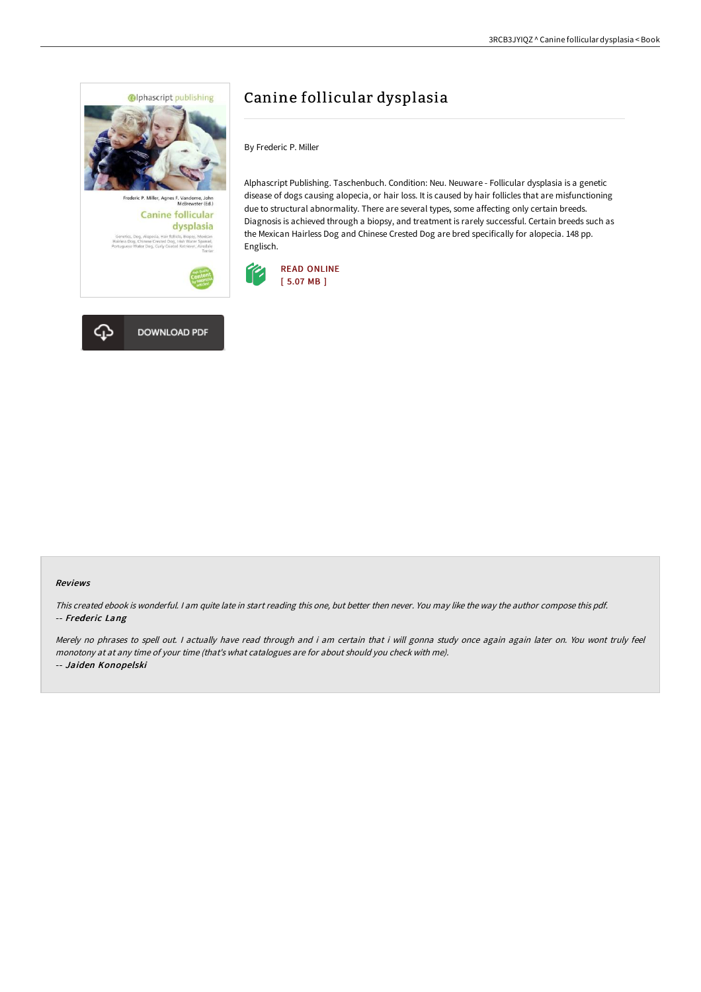

# Canine follicular dysplasia

By Frederic P. Miller

Alphascript Publishing. Taschenbuch. Condition: Neu. Neuware - Follicular dysplasia is a genetic disease of dogs causing alopecia, or hair loss. It is caused by hair follicles that are misfunctioning due to structural abnormality. There are several types, some affecting only certain breeds. Diagnosis is achieved through a biopsy, and treatment is rarely successful. Certain breeds such as the Mexican Hairless Dog and Chinese Crested Dog are bred specifically for alopecia. 148 pp. Englisch.





#### Reviews

This created ebook is wonderful. <sup>I</sup> am quite late in start reading this one, but better then never. You may like the way the author compose this pdf. -- Frederic Lang

Merely no phrases to spell out. <sup>I</sup> actually have read through and i am certain that i will gonna study once again again later on. You wont truly feel monotony at at any time of your time (that's what catalogues are for about should you check with me). -- Jaiden Konopelski